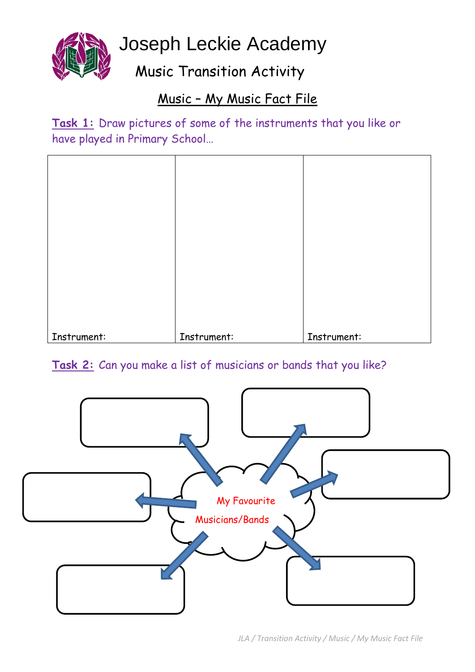

Joseph Leckie Academy

Music Transition Activity

## Music – My Music Fact File

**Task 1:** Draw pictures of some of the instruments that you like or have played in Primary School…

| Instrument: | Instrument: | Instrument: |
|-------------|-------------|-------------|

### **Task 2:** Can you make a list of musicians or bands that you like?

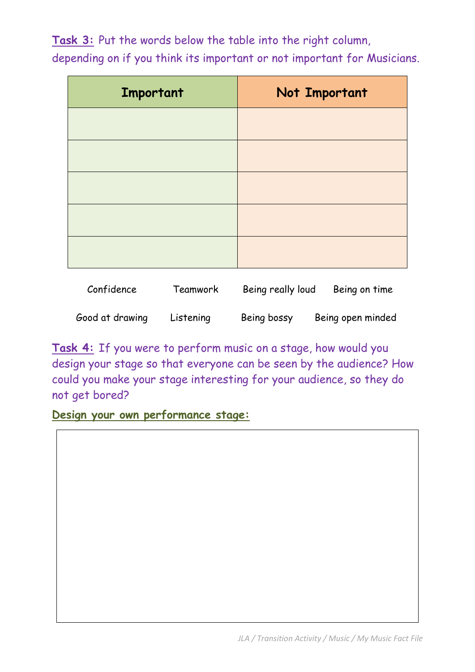**Task 3:** Put the words below the table into the right column,

| Important | Not Important |
|-----------|---------------|
|           |               |
|           |               |
|           |               |
|           |               |
|           |               |

depending on if you think its important or not important for Musicians.

| Confidence      | Teamwork  | Being really loud | Being on time     |
|-----------------|-----------|-------------------|-------------------|
| Good at drawing | Listening | Being bossy       | Being open minded |

**Task 4:** If you were to perform music on a stage, how would you design your stage so that everyone can be seen by the audience? How could you make your stage interesting for your audience, so they do not get bored?

**Design your own performance stage:**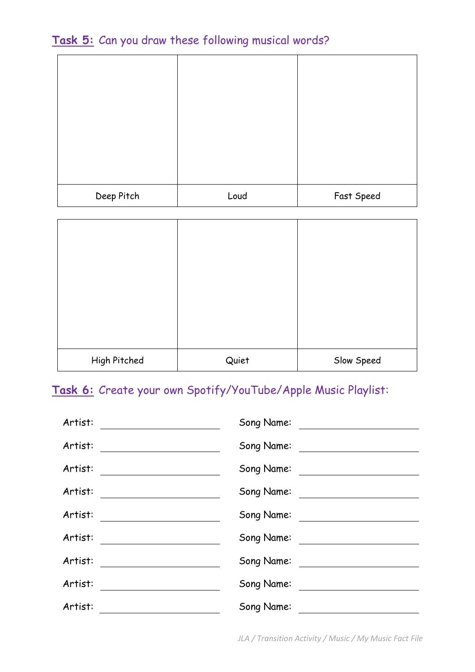#### **Task 5:** Can you draw these following musical words?

| Deep Pitch | Loud | Fast Speed |
|------------|------|------------|

| High Pitched | Quiet | Slow Speed |
|--------------|-------|------------|

## **Task 6:** Create your own Spotify/YouTube/Apple Music Playlist:

| Artist: | Song Name:                                                  |
|---------|-------------------------------------------------------------|
| Artist: | Song Name:                                                  |
| Artist: | Song Name:                                                  |
| Artist: | Song Name:                                                  |
| Artist: | Song Name:<br><u> 1989 - Andrea State Barbara, polit</u> ik |
| Artist: | Song Name:                                                  |
| Artist: | Song Name:                                                  |
| Artist: | Song Name:                                                  |
| Artist: | Song Name:                                                  |

*JLA / Transition Activity / Music / My Music Fact File*